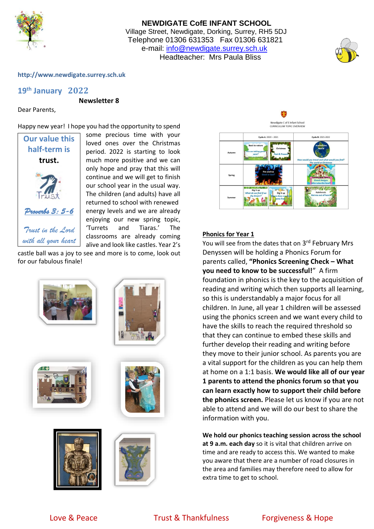

# **NEWDIGATE CofE INFANT SCHOOL** Village Street, Newdigate, Dorking, Surrey, RH5 5DJ Telephone 01306 631353 Fax 01306 631821 e-mail: [info@newdigate.surrey.sch.uk](mailto:info@newdigate.surrey.sch.uk) Headteacher: Mrs Paula Bliss



### **http://www.newdigate.surrey.sch.uk**

# **19th January 2022**

**Newsletter 8**

Dear Parents,

Happy new year! I hope you had the opportunity to spend



some precious time with your loved ones over the Christmas period. 2022 is starting to look much more positive and we can only hope and pray that this will continue and we will get to finish our school year in the usual way. The children (and adults) have all returned to school with renewed energy levels and we are already enjoying our new spring topic, 'Turrets and Tiaras.' The classrooms are already coming alive and look like castles. Year 2's

castle ball was a joy to see and more is to come, look out for our fabulous finale!















### **Phonics for Year 1**

You will see from the dates that on 3<sup>rd</sup> February Mrs Denyssen will be holding a Phonics Forum for parents called, **"Phonics Screening Check – What you need to know to be successful!**" A firm foundation in phonics is the key to the acquisition of reading and writing which then supports all learning, so this is understandably a major focus for all children. In June, all year 1 children will be assessed using the phonics screen and we want every child to have the skills to reach the required threshold so that they can continue to embed these skills and further develop their reading and writing before they move to their junior school. As parents you are a vital support for the children as you can help them at home on a 1:1 basis. **We would like all of our year 1 parents to attend the phonics forum so that you can learn exactly how to support their child before the phonics screen.** Please let us know if you are not able to attend and we will do our best to share the information with you.

**We hold our phonics teaching session across the school at 9 a.m. each day** so it is vital that children arrive on time and are ready to access this. We wanted to make you aware that there are a number of road closures in the area and families may therefore need to allow for extra time to get to school.

# Love & Peace Trust & Thankfulness Forgiveness & Hope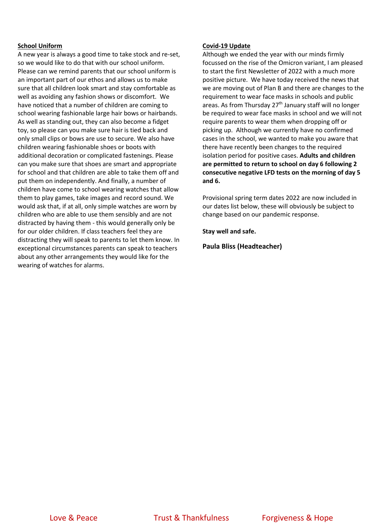### **School Uniform**

A new year is always a good time to take stock and re-set, so we would like to do that with our school uniform. Please can we remind parents that our school uniform is an important part of our ethos and allows us to make sure that all children look smart and stay comfortable as well as avoiding any fashion shows or discomfort. We have noticed that a number of children are coming to school wearing fashionable large hair bows or hairbands. As well as standing out, they can also become a fidget toy, so please can you make sure hair is tied back and only small clips or bows are use to secure. We also have children wearing fashionable shoes or boots with additional decoration or complicated fastenings. Please can you make sure that shoes are smart and appropriate for school and that children are able to take them off and put them on independently. And finally, a number of children have come to school wearing watches that allow them to play games, take images and record sound. We would ask that, if at all, only simple watches are worn by children who are able to use them sensibly and are not distracted by having them - this would generally only be for our older children. If class teachers feel they are distracting they will speak to parents to let them know. In exceptional circumstances parents can speak to teachers about any other arrangements they would like for the wearing of watches for alarms.

### **Covid-19 Update**

Although we ended the year with our minds firmly focussed on the rise of the Omicron variant, I am pleased to start the first Newsletter of 2022 with a much more positive picture. We have today received the news that we are moving out of Plan B and there are changes to the requirement to wear face masks in schools and public areas. As from Thursday 27<sup>th</sup> January staff will no longer be required to wear face masks in school and we will not require parents to wear them when dropping off or picking up. Although we currently have no confirmed cases in the school, we wanted to make you aware that there have recently been changes to the required isolation period for positive cases. **Adults and children are permitted to return to school on day 6 following 2 consecutive negative LFD tests on the morning of day 5 and 6.**

Provisional spring term dates 2022 are now included in our dates list below, these will obviously be subject to change based on our pandemic response.

**Stay well and safe.**

**Paula Bliss (Headteacher)**